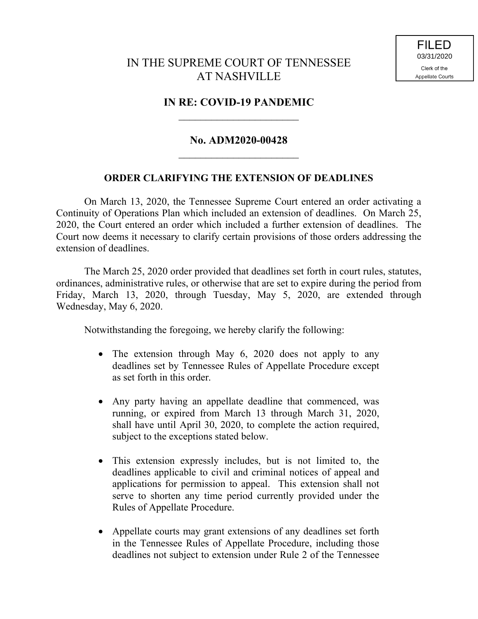## IN THE SUPREME COURT OF TENNESSEE AT NASHVILLE

## **IN RE: COVID-19 PANDEMIC**  $\overline{\phantom{a}}$  , where  $\overline{\phantom{a}}$

## **No. ADM2020-00428**  $\overline{\phantom{a}}$  , where  $\overline{\phantom{a}}$

## **ORDER CLARIFYING THE EXTENSION OF DEADLINES**

On March 13, 2020, the Tennessee Supreme Court entered an order activating a Continuity of Operations Plan which included an extension of deadlines. On March 25, 2020, the Court entered an order which included a further extension of deadlines. The Court now deems it necessary to clarify certain provisions of those orders addressing the extension of deadlines.

The March 25, 2020 order provided that deadlines set forth in court rules, statutes, ordinances, administrative rules, or otherwise that are set to expire during the period from Friday, March 13, 2020, through Tuesday, May 5, 2020, are extended through Wednesday, May 6, 2020.

Notwithstanding the foregoing, we hereby clarify the following:

- The extension through May 6, 2020 does not apply to any deadlines set by Tennessee Rules of Appellate Procedure except as set forth in this order.
- Any party having an appellate deadline that commenced, was running, or expired from March 13 through March 31, 2020, shall have until April 30, 2020, to complete the action required, subject to the exceptions stated below.
- This extension expressly includes, but is not limited to, the deadlines applicable to civil and criminal notices of appeal and applications for permission to appeal. This extension shall not serve to shorten any time period currently provided under the Rules of Appellate Procedure.
- Appellate courts may grant extensions of any deadlines set forth in the Tennessee Rules of Appellate Procedure, including those deadlines not subject to extension under Rule 2 of the Tennessee